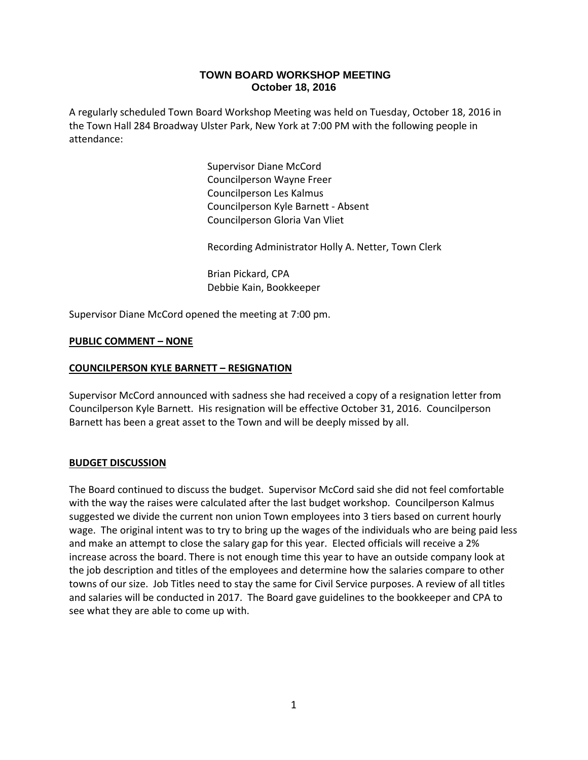# **TOWN BOARD WORKSHOP MEETING October 18, 2016**

A regularly scheduled Town Board Workshop Meeting was held on Tuesday, October 18, 2016 in the Town Hall 284 Broadway Ulster Park, New York at 7:00 PM with the following people in attendance:

> Supervisor Diane McCord Councilperson Wayne Freer Councilperson Les Kalmus Councilperson Kyle Barnett - Absent Councilperson Gloria Van Vliet

Recording Administrator Holly A. Netter, Town Clerk

Brian Pickard, CPA Debbie Kain, Bookkeeper

Supervisor Diane McCord opened the meeting at 7:00 pm.

## **PUBLIC COMMENT – NONE**

### **COUNCILPERSON KYLE BARNETT – RESIGNATION**

Supervisor McCord announced with sadness she had received a copy of a resignation letter from Councilperson Kyle Barnett. His resignation will be effective October 31, 2016. Councilperson Barnett has been a great asset to the Town and will be deeply missed by all.

### **BUDGET DISCUSSION**

The Board continued to discuss the budget. Supervisor McCord said she did not feel comfortable with the way the raises were calculated after the last budget workshop. Councilperson Kalmus suggested we divide the current non union Town employees into 3 tiers based on current hourly wage. The original intent was to try to bring up the wages of the individuals who are being paid less and make an attempt to close the salary gap for this year. Elected officials will receive a 2% increase across the board. There is not enough time this year to have an outside company look at the job description and titles of the employees and determine how the salaries compare to other towns of our size. Job Titles need to stay the same for Civil Service purposes. A review of all titles and salaries will be conducted in 2017. The Board gave guidelines to the bookkeeper and CPA to see what they are able to come up with.